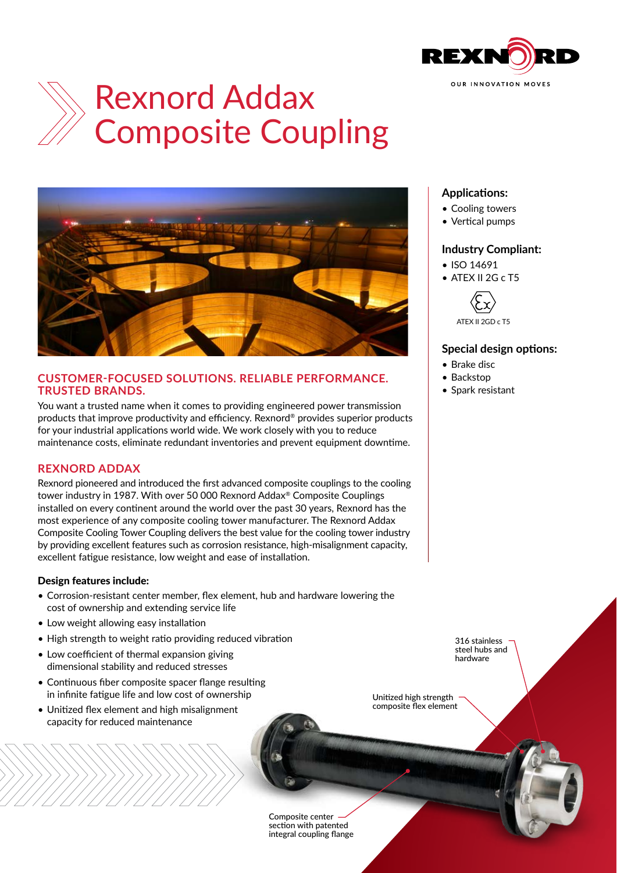

# Rexnord Addax Composite Coupling



#### **CUSTOMER-FOCUSED SOLUTIONS. RELIABLE PERFORMANCE. TRUSTED BRANDS.**

You want a trusted name when it comes to providing engineered power transmission products that improve productivity and efficiency. Rexnord® provides superior products for your industrial applications world wide. We work closely with you to reduce maintenance costs, eliminate redundant inventories and prevent equipment downtime.

# **REXNORD ADDAX**

Rexnord pioneered and introduced the first advanced composite couplings to the cooling tower industry in 1987. With over 50 000 Rexnord Addax® Composite Couplings installed on every continent around the world over the past 30 years, Rexnord has the most experience of any composite cooling tower manufacturer. The Rexnord Addax Composite Cooling Tower Coupling delivers the best value for the cooling tower industry by providing excellent features such as corrosion resistance, high-misalignment capacity, excellent fatigue resistance, low weight and ease of installation.

#### Design features include:

- Corrosion-resistant center member, flex element, hub and hardware lowering the cost of ownership and extending service life
- Low weight allowing easy installation
- High strength to weight ratio providing reduced vibration
- Low coefficient of thermal expansion giving dimensional stability and reduced stresses
- Continuous fiber composite spacer flange resulting in infinite fatigue life and low cost of ownership
- Unitized flex element and high misalignment capacity for reduced maintenance

## **Applications:**

- Cooling towers
- Vertical pumps

### **Industry Compliant:**

- ISO 14691
- ATEX II 2G c T5



### **Special design options:**

- Brake disc
- Backstop
- Spark resistant

316 stainless steel hubs and hardware

Unitized high strength composite flex element

Composite center section with patented integral coupling flange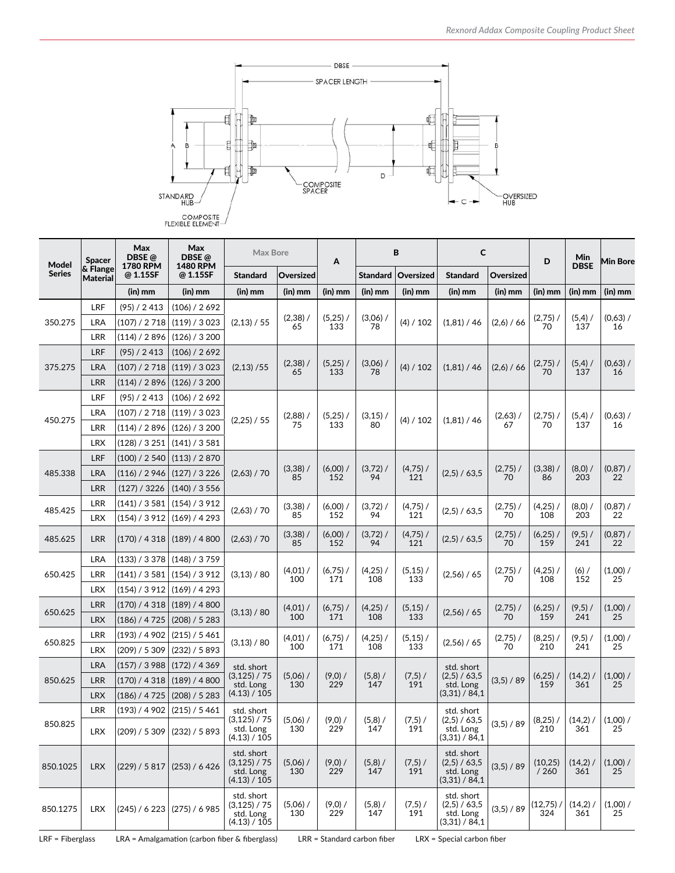

| Model         | <b>Spacer</b>               | Max<br>DBSE@                | Max<br>DBSE @               | <b>Max Bore</b>                                          |                   | Α                 | В                 |                   | C                                                        |                  | D                 | Min               | <b>Min Bore</b>  |
|---------------|-----------------------------|-----------------------------|-----------------------------|----------------------------------------------------------|-------------------|-------------------|-------------------|-------------------|----------------------------------------------------------|------------------|-------------------|-------------------|------------------|
| <b>Series</b> | & Flange<br><b>Material</b> | <b>1780 RPM</b><br>@ 1.15SF | <b>1480 RPM</b><br>@ 1.15SF | <b>Standard</b>                                          | Oversized         |                   | <b>Standard</b>   | Oversized         | <b>Standard</b>                                          | Oversized        |                   | <b>DBSE</b>       |                  |
|               |                             | $(in)$ mm                   | $(in)$ mm                   | $(in)$ mm                                                | $(in)$ mm         | $(in)$ mm         | $(in)$ mm         | (in) mm           | (in) mm                                                  | $(in)$ mm        | $(in)$ mm         | $(in)$ mm         | (in) mm          |
| 350.275       | LRF                         | (95) / 2413                 | (106) / 2692                | (2,13) / 55                                              | $(2,38)$ /<br>65  | $(5,25)$ /<br>133 | $(3,06)$ /<br>78  | (4) / 102         | (1,81) / 46                                              | (2,6) / 66       | $(2,75)$ /<br>70  | (5,4)<br>137      | $(0,63)$ /<br>16 |
|               | LRA                         | (107) / 2718                | (119) / 3023                |                                                          |                   |                   |                   |                   |                                                          |                  |                   |                   |                  |
|               | <b>LRR</b>                  | (114) / 2896                | (126) / 3200                |                                                          |                   |                   |                   |                   |                                                          |                  |                   |                   |                  |
| 375.275       | LRF                         | (95) / 2413                 | (106) / 2692                | (2,13)/55                                                | $(2,38)$ /<br>65  | $(5,25)$ /<br>133 | $(3,06)$ /<br>78  | (4) / 102         | (1,81) / 46                                              | (2,6) / 66       | $(2,75)$ /<br>70  | $(5,4)$ /<br>137  | (0,63) /<br>16   |
|               | LRA                         | (107) / 2718                | (119) / 3023                |                                                          |                   |                   |                   |                   |                                                          |                  |                   |                   |                  |
|               | LRR                         | (114) / 2896                | (126) / 3200                |                                                          |                   |                   |                   |                   |                                                          |                  |                   |                   |                  |
|               | LRF                         | (95) / 2413                 | (106) / 2692                | (2,25) / 55                                              | $(2,88)$ /<br>75  | $(5,25)$ /<br>133 | $(3,15)$ /<br>80  | (4) / 102         | (1,81) / 46                                              | $(2,63)$ /<br>67 | $(2,75)$ /<br>70  | $(5,4)$ /<br>137  | $(0,63)$ /<br>16 |
| 450.275       | LRA                         | (107) / 2 718               | (119) / 3023                |                                                          |                   |                   |                   |                   |                                                          |                  |                   |                   |                  |
|               | LRR                         | (114) / 2896                | (126) / 3200                |                                                          |                   |                   |                   |                   |                                                          |                  |                   |                   |                  |
|               | <b>LRX</b>                  | (128) / 3251                | (141) / 3581                |                                                          |                   |                   |                   |                   |                                                          |                  |                   |                   |                  |
| 485.338       | LRF                         | (100) / 2540                | (113) / 2870                | (2,63) / 70                                              | $(3,38)$ /<br>85  | $(6,00)$ /<br>152 | $(3,72)$ /<br>94  | $(4,75)$ /<br>121 | (2,5) / 63,5                                             | $(2,75)$ /<br>70 | $(3,38)$ /<br>86  | $(8,0)$ /<br>203  | (0, 87) /<br>22  |
|               | LRA                         | (116) / 2946                | (127) / 3226                |                                                          |                   |                   |                   |                   |                                                          |                  |                   |                   |                  |
|               | LRR                         | (127) / 3226                | (140) / 3556                |                                                          |                   |                   |                   |                   |                                                          |                  |                   |                   |                  |
| 485.425       | LRR                         | (141) / 3581                | (154) / 3912                | (2,63) / 70                                              | $(3,38)$ /<br>85  | $(6,00)$ /<br>152 | $(3,72)$ /<br>94  | $(4,75)$ /        | (2,5) / 63,5                                             | $(2,75)$ /<br>70 | (4,25)<br>108     | $(8,0)$ /         | (0, 87) /        |
|               | <b>LRX</b>                  | (154) / 3 912               | (169) / 4293                |                                                          |                   |                   |                   | 121               |                                                          |                  |                   | 203               | 22               |
| 485.625       | LRR                         | (170) / 4318                | (189) / 4800                | (2,63) / 70                                              | $(3,38)$ /<br>85  | $(6,00)$ /<br>152 | $(3,72)$ /<br>94  | $(4,75)$ /<br>121 | (2,5) / 63,5                                             | $(2,75)$ /<br>70 | (6,25)<br>159     | $(9,5)$ /<br>241  | (0, 87) /<br>22  |
| 650.425       | LRA                         | (133) / 3378                | (148) / 3759                | (3,13) / 80                                              | $(4,01)$ /<br>100 | $(6,75)$ /<br>171 | $(4,25)$ /<br>108 | $(5,15)$ /<br>133 | (2,56) / 65                                              | $(2,75)$ /<br>70 | $(4,25)$ /<br>108 | $(6)$ /<br>152    | (1,00) /<br>25   |
|               | LRR                         | (141) / 3581                | (154) / 3912                |                                                          |                   |                   |                   |                   |                                                          |                  |                   |                   |                  |
|               | <b>LRX</b>                  | (154) / 3912                | (169) / 4293                |                                                          |                   |                   |                   |                   |                                                          |                  |                   |                   |                  |
| 650.625       | LRR                         | (170) / 4318                | (189) / 4800                | (3,13) / 80                                              | $(4,01)$ /<br>100 | $(6,75)$ /<br>171 | $(4,25)$ /<br>108 | $(5,15)$ /<br>133 | (2,56) / 65                                              | $(2,75)$ /<br>70 | $(6,25)$ /<br>159 | $(9,5)$ /<br>241  | (1,00) /<br>25   |
|               | <b>LRX</b>                  | (186) / 4725                | (208) / 5283                |                                                          |                   |                   |                   |                   |                                                          |                  |                   |                   |                  |
| 650.825       | <b>LRR</b>                  | (193) / 4902                | (215) / 5461                | (3,13) / 80                                              | $(4,01)$ /<br>100 | $(6,75)$ /<br>171 | $(4,25)$ /<br>108 | $(5,15)$ /<br>133 | (2,56) / 65                                              | $(2,75)$ /<br>70 | (8,25)            | $(9,5)$ /<br>241  | $(1,00)$ /<br>25 |
|               | <b>LRX</b>                  | (209) / 5309                | (232) / 5893                |                                                          |                   |                   |                   |                   |                                                          |                  | 210               |                   |                  |
| 850.625       | <b>LRA</b>                  | (157) / 3988                | (172) / 4369                | std. short<br>(3, 125) / 75<br>std. Long<br>(4.13) / 105 | $(5,06)$ /<br>130 | $(9,0)$ /<br>229  | $(5,8)$ /<br>147  | $(7,5)$ /<br>191  | std. short<br>(2,5) / 63,5<br>std. Long<br>(3,31) / 84,1 | (3,5) / 89       | $(6,25)$ /<br>159 | $(14,2)$ /<br>361 | (1,00) /<br>25   |
|               | LRR                         | (170) / 4318                | (189) / 4800                |                                                          |                   |                   |                   |                   |                                                          |                  |                   |                   |                  |
|               | <b>LRX</b>                  | (186) / 4725                | (208) / 5283                |                                                          |                   |                   |                   |                   |                                                          |                  |                   |                   |                  |
| 850.825       | LRR                         | (193) / 4 902               | (215) / 5461                | std. short<br>(3, 125) / 75<br>std. Long<br>(4.13) / 105 | $(5,06)$ /<br>130 | $(9,0)$ /<br>229  | $(5,8)$ /<br>147  | $(7,5)$ /<br>191  | std. short<br>(2,5) / 63,5<br>std. Long<br>(3,31) / 84,1 | (3,5) / 89       | $(8,25)$ /<br>210 | (14,2)<br>361     | $(1,00)$ /<br>25 |
|               | LRX                         | (209) / 5309                | (232) / 5893                |                                                          |                   |                   |                   |                   |                                                          |                  |                   |                   |                  |
| 850.1025      | <b>LRX</b>                  | (229) / 5817                | (253) / 6426                | std. short<br>(3, 125) / 75<br>std. Long<br>(4.13) / 105 | $(5,06)$ /<br>130 | $(9,0)$ /<br>229  | (5,8) /<br>147    | $(7,5)$ /<br>191  | std. short<br>(2,5) / 63,5<br>std. Long<br>(3,31) / 84,1 | (3,5) / 89       | (10, 25)<br>/260  | $(14,2)$ /<br>361 | (1,00) /<br>25   |
| 850.1275      | <b>LRX</b>                  | (245) / 6223                | (275) / 6985                | std. short<br>(3, 125) / 75<br>std. Long<br>(4.13) / 105 | $(5,06)$ /<br>130 | $(9,0)$ /<br>229  | $(5,8)$ /<br>147  | (7,5) /<br>191    | std. short<br>(2,5) / 63,5<br>std. Long<br>(3,31) / 84,1 | (3,5) / 89       | (12,75)<br>324    | (14,2)<br>361     | $(1,00)$ /<br>25 |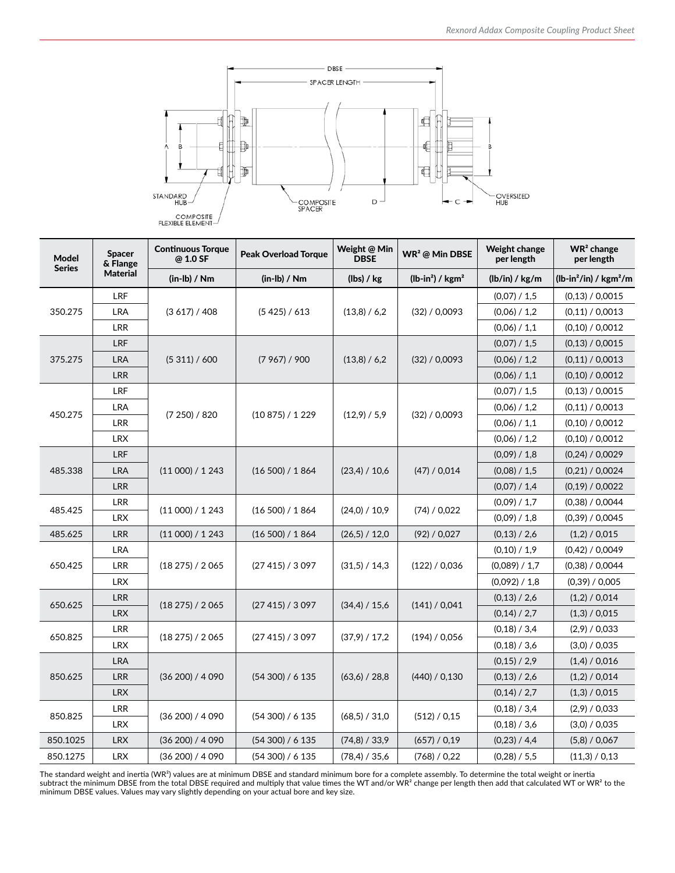

| <b>Model</b><br><b>Series</b> | <b>Spacer</b><br>& Flange | <b>Continuous Torque</b><br>@ 1.0 SF | <b>Peak Overload Torque</b> | Weight @ Min<br><b>DBSE</b> | $WR2$ @ Min DBSE | <b>Weight change</b><br>per length | $WR2$ change<br>per length |  |
|-------------------------------|---------------------------|--------------------------------------|-----------------------------|-----------------------------|------------------|------------------------------------|----------------------------|--|
|                               | <b>Material</b>           | $(in-lb) / Nm$                       | $(in-lb) / Nm$              | (lbs) / kg                  |                  | (lb/in) / kg/m                     | $(lb-in^2/in) / kgm^2/m$   |  |
|                               | LRF                       |                                      |                             | (13,8) / 6,2                |                  | (0,07) / 1,5                       | (0,13) / 0,0015            |  |
| 350.275                       | <b>LRA</b>                | (3617)/408                           | (5425)/613                  |                             | (32) / 0,0093    | (0,06) / 1,2                       | (0,11) / 0,0013            |  |
|                               | <b>LRR</b>                |                                      |                             |                             |                  | (0.06) / 1.1                       | (0,10) / 0,0012            |  |
| 375.275                       | LRF                       |                                      | (7967) / 900                | (13,8) / 6,2                |                  | (0,07) / 1,5                       | (0,13) / 0,0015            |  |
|                               | <b>LRA</b>                | (5311)/600                           |                             |                             | (32) / 0,0093    | (0,06) / 1,2                       | (0,11) / 0,0013            |  |
|                               | <b>LRR</b>                |                                      |                             |                             |                  | (0,06) / 1,1                       | (0,10) / 0,0012            |  |
|                               | LRF                       |                                      | (10875) / 1229              | (12,9) / 5,9                | (32) / 0,0093    | (0.07) / 1.5                       | (0,13) / 0,0015            |  |
| 450.275                       | <b>LRA</b>                |                                      |                             |                             |                  | (0,06) / 1,2                       | (0,11) / 0,0013            |  |
|                               | <b>LRR</b>                | (7250)/820                           |                             |                             |                  | (0,06) / 1,1                       | (0,10) / 0,0012            |  |
|                               | <b>LRX</b>                |                                      |                             |                             |                  | (0.06) / 1.2                       | (0,10) / 0,0012            |  |
| 485.338                       | <b>LRF</b>                |                                      | (16 500) / 1 864            | (23,4) / 10,6               |                  | (0,09) / 1,8                       | (0,24) / 0,0029            |  |
|                               | <b>LRA</b>                | (11 000) / 1 243                     |                             |                             | (47) / 0.014     | (0,08) / 1,5                       | (0,21) / 0,0024            |  |
|                               | <b>LRR</b>                |                                      |                             |                             |                  | (0.07) / 1.4                       | (0,19) / 0,0022            |  |
| 485.425                       | <b>LRR</b>                |                                      |                             |                             |                  | (0,09) / 1,7                       | (0,38) / 0,0044            |  |
|                               | <b>LRX</b>                | (11 000) / 1 243                     | (16 500) / 1 864            | (24,0) / 10,9               | (74) / 0.022     | (0.09) / 1.8                       | (0,39) / 0,0045            |  |
| 485.625                       | <b>LRR</b>                | (11 000) / 1 243                     | (16 500) / 1 864            | (26,5) / 12,0               | (92) / 0.027     | (0,13) / 2,6                       | (1,2) / 0,015              |  |
| 650.425                       | <b>LRA</b>                |                                      | (27 415) / 3 097            | (31.5) / 14.3               | (122) / 0.036    | (0,10) / 1,9                       | (0,42) / 0,0049            |  |
|                               | <b>LRR</b>                | (18 275) / 2 065                     |                             |                             |                  | (0,089) / 1.7                      | (0,38) / 0,0044            |  |
|                               | <b>LRX</b>                |                                      |                             |                             |                  | (0.092) / 1.8                      | (0,39) / 0,005             |  |
| 650.625                       | LRR                       |                                      |                             |                             |                  | (0,13) / 2,6                       | (1,2) / 0.014              |  |
|                               | <b>LRX</b>                | (18 275) / 2 065                     | (27 415) / 3 097            | (34,4) / 15,6               | (141) / 0.041    | (0.14) / 2.7                       | (1,3) / 0,015              |  |
| 650.825                       | <b>LRR</b>                |                                      |                             |                             |                  | (0.18) / 3.4                       | (2,9) / 0,033              |  |
|                               | <b>LRX</b>                | (18 275) / 2 065                     | (27 415) / 3 097            | (37.9) / 17.2               | (194) / 0.056    | (0,18) / 3,6                       | (3,0) / 0,035              |  |
| 850.625                       | <b>LRA</b>                |                                      | (54300) / 6135              | (63,6) / 28,8               |                  | (0,15) / 2,9                       | (1,4) / 0,016              |  |
|                               | <b>LRR</b>                | (36 200) / 4 090                     |                             |                             | (440) / 0.130    | (0,13) / 2,6                       | (1,2) / 0.014              |  |
|                               | <b>LRX</b>                |                                      |                             |                             |                  | (0.14) / 2.7                       | (1,3) / 0,015              |  |
| 850.825                       | <b>LRR</b>                |                                      |                             |                             |                  | (0,18) / 3,4                       | (2,9) / 0,033              |  |
|                               | <b>LRX</b>                | (36 200) / 4 090                     | (54300) / 6135              | (68,5) / 31,0               | (512) / 0.15     | (0.18) / 3.6                       | (3,0) / 0,035              |  |
| 850.1025                      | <b>LRX</b>                | (36 200) / 4 090                     | (54300) / 6135              | (74.8) / 33.9               | (657) / 0.19     | (0,23) / 4,4                       | (5,8) / 0,067              |  |
| 850.1275                      | <b>LRX</b>                | (36 200) / 4 090                     | (54 300) / 6 135            | (78,4) / 35,6               | (768) / 0,22     | (0,28) / 5,5                       | (11,3) / 0,13              |  |

The standard weight and inertia (WR²) values are at minimum DBSE and standard minimum bore for a complete assembly. To determine the total weight or inertia subtract the minimum DBSE from the total DBSE required and multiply that value times the WT and/or WR $^2$  change per length then add that calculated WT or WR $^2$  to the minimum DBSE values. Values may vary slightly depending on your actual bore and key size.